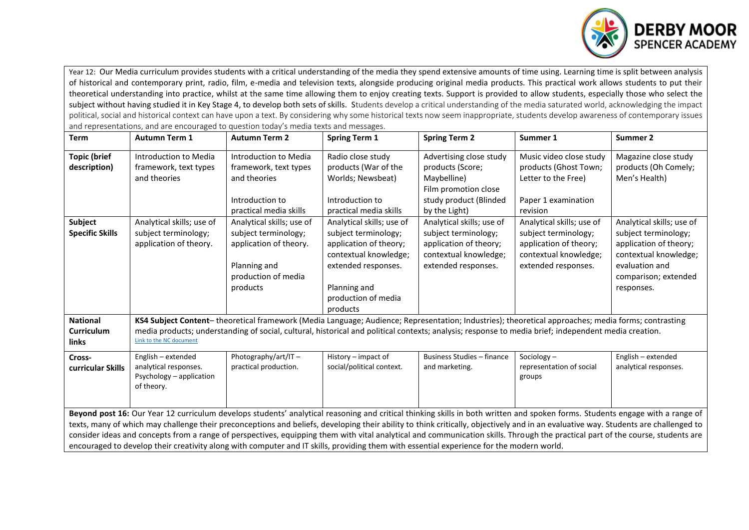

Year 12: Our Media curriculum provides students with a critical understanding of the media they spend extensive amounts of time using. Learning time is split between analysis of historical and contemporary print, radio, film, e-media and television texts, alongside producing original media products. This practical work allows students to put their theoretical understanding into practice, whilst at the same time allowing them to enjoy creating texts. Support is provided to allow students, especially those who select the subject without having studied it in Key Stage 4, to develop both sets of skills. Students develop a critical understanding of the media saturated world, acknowledging the impact political, social and historical context can have upon a text. By considering why some historical texts now seem inappropriate, students develop awareness of contemporary issues and representations, and are encouraged to question today's media texts and messages.

| <b>Term</b>                                                                                                                                                                         | <b>Autumn Term 1</b>                                                                                                                                 | <b>Autumn Term 2</b>      | <b>Spring Term 1</b>      | <b>Spring Term 2</b>              | Summer 1                  | Summer 2                  |  |  |  |
|-------------------------------------------------------------------------------------------------------------------------------------------------------------------------------------|------------------------------------------------------------------------------------------------------------------------------------------------------|---------------------------|---------------------------|-----------------------------------|---------------------------|---------------------------|--|--|--|
| <b>Topic (brief</b>                                                                                                                                                                 | Introduction to Media                                                                                                                                | Introduction to Media     | Radio close study         | Advertising close study           | Music video close study   | Magazine close study      |  |  |  |
| description)                                                                                                                                                                        | framework, text types                                                                                                                                | framework, text types     | products (War of the      | products (Score;                  | products (Ghost Town;     | products (Oh Comely;      |  |  |  |
|                                                                                                                                                                                     | and theories                                                                                                                                         | and theories              | Worlds; Newsbeat)         | Maybelline)                       | Letter to the Free)       | Men's Health)             |  |  |  |
|                                                                                                                                                                                     |                                                                                                                                                      |                           |                           | Film promotion close              |                           |                           |  |  |  |
|                                                                                                                                                                                     |                                                                                                                                                      | Introduction to           | Introduction to           | study product (Blinded            | Paper 1 examination       |                           |  |  |  |
|                                                                                                                                                                                     |                                                                                                                                                      | practical media skills    | practical media skills    | by the Light)                     | revision                  |                           |  |  |  |
| Subject                                                                                                                                                                             | Analytical skills; use of                                                                                                                            | Analytical skills; use of | Analytical skills; use of | Analytical skills; use of         | Analytical skills; use of | Analytical skills; use of |  |  |  |
| <b>Specific Skills</b>                                                                                                                                                              | subject terminology;                                                                                                                                 | subject terminology;      | subject terminology;      | subject terminology;              | subject terminology;      | subject terminology;      |  |  |  |
|                                                                                                                                                                                     | application of theory.                                                                                                                               | application of theory.    | application of theory;    | application of theory;            | application of theory;    | application of theory;    |  |  |  |
|                                                                                                                                                                                     |                                                                                                                                                      |                           | contextual knowledge;     | contextual knowledge;             | contextual knowledge;     | contextual knowledge;     |  |  |  |
|                                                                                                                                                                                     |                                                                                                                                                      | Planning and              | extended responses.       | extended responses.               | extended responses.       | evaluation and            |  |  |  |
|                                                                                                                                                                                     |                                                                                                                                                      | production of media       |                           |                                   |                           | comparison; extended      |  |  |  |
|                                                                                                                                                                                     |                                                                                                                                                      | products                  | Planning and              |                                   |                           | responses.                |  |  |  |
|                                                                                                                                                                                     |                                                                                                                                                      |                           | production of media       |                                   |                           |                           |  |  |  |
|                                                                                                                                                                                     |                                                                                                                                                      |                           | products                  |                                   |                           |                           |  |  |  |
| <b>National</b>                                                                                                                                                                     | KS4 Subject Content-theoretical framework (Media Language; Audience; Representation; Industries); theoretical approaches; media forms; contrasting   |                           |                           |                                   |                           |                           |  |  |  |
| Curriculum                                                                                                                                                                          | media products; understanding of social, cultural, historical and political contexts; analysis; response to media brief; independent media creation. |                           |                           |                                   |                           |                           |  |  |  |
| links                                                                                                                                                                               | Link to the NC document                                                                                                                              |                           |                           |                                   |                           |                           |  |  |  |
| Cross-                                                                                                                                                                              | English - extended                                                                                                                                   | Photography/art/IT-       | History - impact of       | <b>Business Studies - finance</b> | Sociology-                | English - extended        |  |  |  |
| curricular Skills                                                                                                                                                                   | analytical responses.                                                                                                                                | practical production.     | social/political context. | and marketing.                    | representation of social  | analytical responses.     |  |  |  |
|                                                                                                                                                                                     | Psychology - application                                                                                                                             |                           |                           |                                   | groups                    |                           |  |  |  |
|                                                                                                                                                                                     | of theory.                                                                                                                                           |                           |                           |                                   |                           |                           |  |  |  |
|                                                                                                                                                                                     |                                                                                                                                                      |                           |                           |                                   |                           |                           |  |  |  |
| Beyond post 16: Our Year 12 curriculum develops students' analytical reasoning and critical thinking skills in both written and spoken forms. Students engage with a range of       |                                                                                                                                                      |                           |                           |                                   |                           |                           |  |  |  |
| texts, many of which may challenge their preconceptions and beliefs, developing their ability to think critically, objectively and in an evaluative way. Students are challenged to |                                                                                                                                                      |                           |                           |                                   |                           |                           |  |  |  |
| consider ideas and concepts from a range of perspectives, equipping them with vital analytical and communication skills. Through the practical part of the course, students are     |                                                                                                                                                      |                           |                           |                                   |                           |                           |  |  |  |
| encouraged to develop their creativity along with computer and IT skills, providing them with essential experience for the modern world.                                            |                                                                                                                                                      |                           |                           |                                   |                           |                           |  |  |  |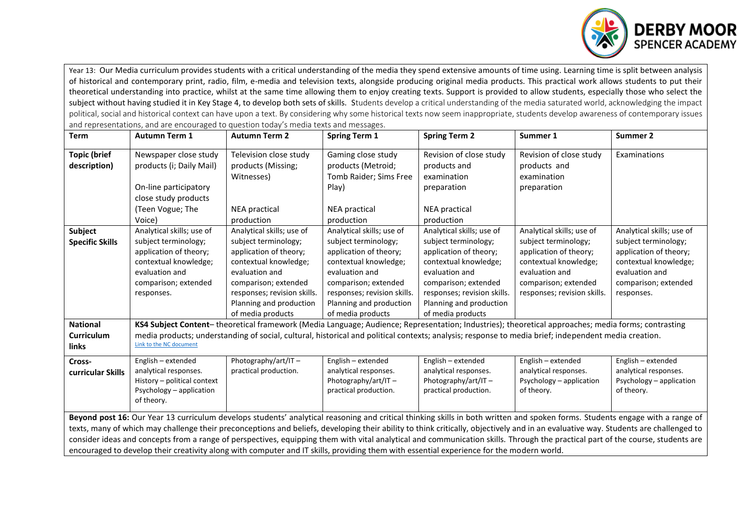

Year 13: Our Media curriculum provides students with a critical understanding of the media they spend extensive amounts of time using. Learning time is split between analysis of historical and contemporary print, radio, film, e-media and television texts, alongside producing original media products. This practical work allows students to put their theoretical understanding into practice, whilst at the same time allowing them to enjoy creating texts. Support is provided to allow students, especially those who select the subject without having studied it in Key Stage 4, to develop both sets of skills. Students develop a critical understanding of the media saturated world, acknowledging the impact political, social and historical context can have upon a text. By considering why some historical texts now seem inappropriate, students develop awareness of contemporary issues and representations, and are encouraged to question today's media texts and messages.

| <b>Term</b>                                                                                                                                                                         | <b>Autumn Term 1</b>        | <b>Autumn Term 2</b>                                                                                                                                 | <b>Spring Term 1</b>        | <b>Spring Term 2</b>        | Summer 1                    | Summer 2                  |  |  |  |  |
|-------------------------------------------------------------------------------------------------------------------------------------------------------------------------------------|-----------------------------|------------------------------------------------------------------------------------------------------------------------------------------------------|-----------------------------|-----------------------------|-----------------------------|---------------------------|--|--|--|--|
| <b>Topic (brief</b>                                                                                                                                                                 | Newspaper close study       | Television close study                                                                                                                               | Gaming close study          | Revision of close study     | Revision of close study     | Examinations              |  |  |  |  |
| description)                                                                                                                                                                        | products (i; Daily Mail)    | products (Missing;                                                                                                                                   | products (Metroid;          | products and                | products and                |                           |  |  |  |  |
|                                                                                                                                                                                     |                             | Witnesses)                                                                                                                                           | Tomb Raider; Sims Free      | examination                 | examination                 |                           |  |  |  |  |
|                                                                                                                                                                                     | On-line participatory       |                                                                                                                                                      | Play)                       | preparation                 | preparation                 |                           |  |  |  |  |
|                                                                                                                                                                                     | close study products        |                                                                                                                                                      |                             |                             |                             |                           |  |  |  |  |
|                                                                                                                                                                                     | (Teen Vogue; The            | NEA practical                                                                                                                                        | <b>NEA</b> practical        | <b>NEA</b> practical        |                             |                           |  |  |  |  |
|                                                                                                                                                                                     | Voice)                      | production                                                                                                                                           | production                  | production                  |                             |                           |  |  |  |  |
| Subject                                                                                                                                                                             | Analytical skills; use of   | Analytical skills; use of                                                                                                                            | Analytical skills; use of   | Analytical skills; use of   | Analytical skills; use of   | Analytical skills; use of |  |  |  |  |
| <b>Specific Skills</b>                                                                                                                                                              | subject terminology;        | subject terminology;                                                                                                                                 | subject terminology;        | subject terminology;        | subject terminology;        | subject terminology;      |  |  |  |  |
|                                                                                                                                                                                     | application of theory;      | application of theory;                                                                                                                               | application of theory;      | application of theory;      | application of theory;      | application of theory;    |  |  |  |  |
|                                                                                                                                                                                     | contextual knowledge;       | contextual knowledge;                                                                                                                                | contextual knowledge;       | contextual knowledge;       | contextual knowledge;       | contextual knowledge;     |  |  |  |  |
|                                                                                                                                                                                     | evaluation and              | evaluation and                                                                                                                                       | evaluation and              | evaluation and              | evaluation and              | evaluation and            |  |  |  |  |
|                                                                                                                                                                                     | comparison; extended        | comparison; extended                                                                                                                                 | comparison; extended        | comparison; extended        | comparison; extended        | comparison; extended      |  |  |  |  |
|                                                                                                                                                                                     | responses.                  | responses; revision skills.                                                                                                                          | responses; revision skills. | responses; revision skills. | responses; revision skills. | responses.                |  |  |  |  |
|                                                                                                                                                                                     |                             | Planning and production                                                                                                                              | Planning and production     | Planning and production     |                             |                           |  |  |  |  |
|                                                                                                                                                                                     |                             | of media products                                                                                                                                    | of media products           | of media products           |                             |                           |  |  |  |  |
| <b>National</b>                                                                                                                                                                     |                             | KS4 Subject Content-theoretical framework (Media Language; Audience; Representation; Industries); theoretical approaches; media forms; contrasting   |                             |                             |                             |                           |  |  |  |  |
| <b>Curriculum</b>                                                                                                                                                                   |                             | media products; understanding of social, cultural, historical and political contexts; analysis; response to media brief; independent media creation. |                             |                             |                             |                           |  |  |  |  |
| links                                                                                                                                                                               | Link to the NC document     |                                                                                                                                                      |                             |                             |                             |                           |  |  |  |  |
| Cross-                                                                                                                                                                              | English - extended          | Photography/art/IT-                                                                                                                                  | English - extended          | English - extended          | English - extended          | English - extended        |  |  |  |  |
| curricular Skills                                                                                                                                                                   | analytical responses.       | practical production.                                                                                                                                | analytical responses.       | analytical responses.       | analytical responses.       | analytical responses.     |  |  |  |  |
|                                                                                                                                                                                     | History - political context |                                                                                                                                                      | Photography/art/IT-         | Photography/art/IT-         | Psychology - application    | Psychology - application  |  |  |  |  |
|                                                                                                                                                                                     | Psychology - application    |                                                                                                                                                      | practical production.       | practical production.       | of theory.                  | of theory.                |  |  |  |  |
|                                                                                                                                                                                     | of theory.                  |                                                                                                                                                      |                             |                             |                             |                           |  |  |  |  |
| Beyond post 16: Our Year 13 curriculum develops students' analytical reasoning and critical thinking skills in both written and spoken forms. Students engage with a range of       |                             |                                                                                                                                                      |                             |                             |                             |                           |  |  |  |  |
| texts, many of which may challenge their preconceptions and beliefs, developing their ability to think critically, objectively and in an evaluative way. Students are challenged to |                             |                                                                                                                                                      |                             |                             |                             |                           |  |  |  |  |
| consider ideas and concepts from a range of perspectives, equipping them with vital analytical and communication skills. Through the practical part of the course, students are     |                             |                                                                                                                                                      |                             |                             |                             |                           |  |  |  |  |
| encouraged to develop their creativity along with computer and IT skills, providing them with essential experience for the modern world.                                            |                             |                                                                                                                                                      |                             |                             |                             |                           |  |  |  |  |